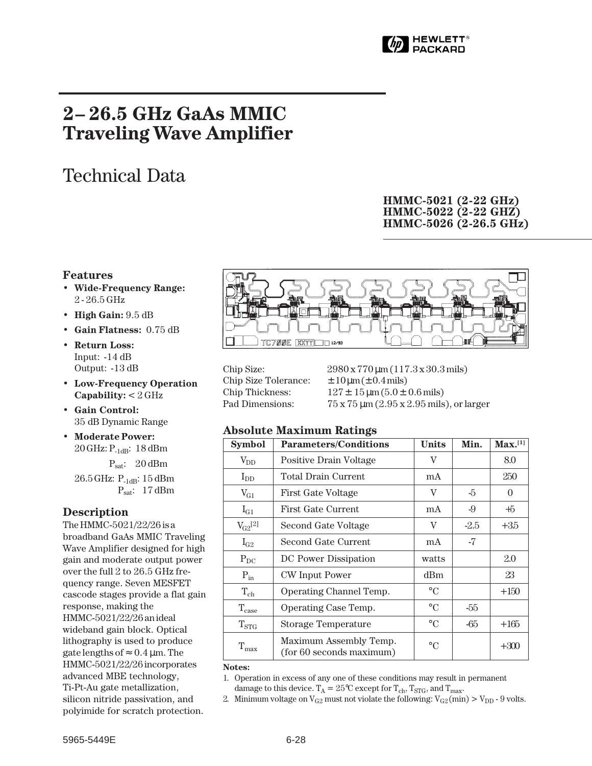

## **2– 26.5 GHz GaAs MMIC Traveling Wave Amplifier**

# Technical Data

### **HMMC-5021 (2-22 GHz) HMMC-5022 (2-22 GHZ) HMMC-5026 (2-26.5 GHz)**

#### **Features**

- **Wide-Frequency Range:** 2 - 26.5 GHz
- **High Gain:** 9.5 dB
- **Gain Flatness:** 0.75 dB
- **Return Loss:** Input: -14 dB Output: -13 dB
- **Low-Frequency Operation Capability:** < 2 GHz
- **Gain Control:** 35 dB Dynamic Range
- **Moderate Power:**  $20$  GHz:  $P_{1dB}$ : 18 dBm  $P_{\text{sat}}$ : 20 dBm

26.5 GHz: P<sub>-1dB</sub>: 15 dBm Psat: 17 dBm

#### **Description**

The HMMC-5021/22/26 is a broadband GaAs MMIC Traveling Wave Amplifier designed for high gain and moderate output power over the full 2 to 26.5 GHz frequency range. Seven MESFET cascode stages provide a flat gain response, making the HMMC-5021/22/26 an ideal wideband gain block. Optical lithography is used to produce gate lengths of  $\approx 0.4 \,\mu$ m. The HMMC-5021/22/26 incorporates advanced MBE technology, Ti-Pt-Au gate metallization, silicon nitride passivation, and polyimide for scratch protection.



Chip Size: 2980 x 770 um (117.3 x 30.3 mils) Chip Size Tolerance:  $\pm 10 \mu m (\pm 0.4 \text{ mils})$ Chip Thickness:  $127 \pm 15 \,\text{\mu m} (5.0 \pm 0.6 \,\text{mils})$ Pad Dimensions:  $75 \times 75 \text{ µm}$  ( $2.95 \times 2.95 \text{ mils}$ ), or larger

#### **Absolute Maximum Ratings**

| <b>Symbol</b>      | <b>Parameters/Conditions</b>                       | <b>Units</b>    | Min.   | Max. <sup>[1]</sup> |
|--------------------|----------------------------------------------------|-----------------|--------|---------------------|
| $\rm V_{DD}$       | Positive Drain Voltage                             | V               |        | 8.0                 |
| $I_{DD}$           | Total Drain Current                                | mA              |        | 250                 |
| $V_{G1}$           | <b>First Gate Voltage</b>                          | V               | -5     | $\overline{0}$      |
| $I_{G1}$           | First Gate Current                                 | mA              | -9     | $+5$                |
| $V_{G2}^{[2]}$     | Second Gate Voltage                                | V               | $-2.5$ | $+35$               |
| $I_{G2}$           | Second Gate Current                                | mA              | -7     |                     |
| $P_{DC}$           | DC Power Dissipation                               | watts           |        | 2.0                 |
| $P_{in}$           | CW Input Power                                     | dBm             |        | 23                  |
| $T_{ch}$           | Operating Channel Temp.                            | $\circ$ C       |        | $+150$              |
| $\rm T_{\rm case}$ | Operating Case Temp.                               | $\rm ^{\circ}C$ | -55    |                     |
| $\rm T_{STG}$      | Storage Temperature                                | $\rm ^{\circ}C$ | -65    | $+165$              |
| $T_{\text{max}}$   | Maximum Assembly Temp.<br>(for 60 seconds maximum) | $\circ$ C       |        | $+300$              |

**Notes:**

1. Operation in excess of any one of these conditions may result in permanent damage to this device.  $T_A = 25^{\circ}C$  except for  $T_{ch}$ ,  $T_{STG}$ , and  $T_{max}$ .

2. Minimum voltage on  $V_{G2}$  must not violate the following:  $V_{G2}(min) > V_{DD}$  - 9 volts.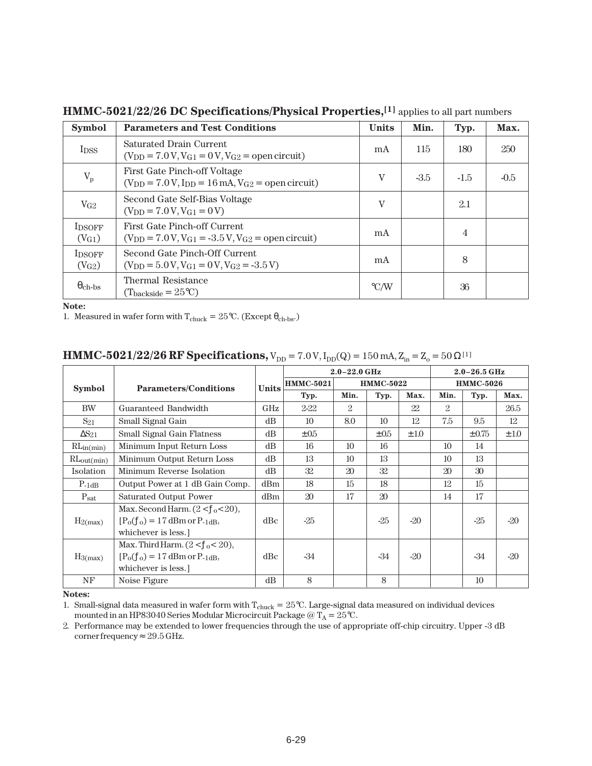| <b>Symbol</b>                       | <b>Parameters and Test Conditions</b>                                                                                          | <b>Units</b>       | Min.   | Typ.   | Max.   |
|-------------------------------------|--------------------------------------------------------------------------------------------------------------------------------|--------------------|--------|--------|--------|
| I <sub>DSS</sub>                    | Saturated Drain Current<br>$(V_{DD} = 7.0 V, V_{G1} = 0 V, V_{G2} =$ open circuit)                                             | mA                 | 115    | 180    | 250    |
| $V_{p}$                             | First Gate Pinch-off Voltage<br>$(V_{DD} = 7.0 V, I_{DD} = 16 mA, V_{G2} = open circuit)$                                      | V                  | $-3.5$ | $-1.5$ | $-0.5$ |
| $V_{G2}$                            | Second Gate Self-Bias Voltage<br>$(V_{DD} = 7.0 V, V_{G1} = 0 V)$                                                              | V                  |        | 2.1    |        |
| <b>IDSOFF</b><br>(VG1)              | First Gate Pinch-off Current<br>$(V_{DD} = 7.0 V, V_{G1} = -3.5 V, V_{G2} =$ open circuit)                                     | m A                |        | 4      |        |
| <b>IDSOFF</b><br>(V <sub>G2</sub> ) | Second Gate Pinch-Off Current<br>$(V_{\text{DD}} = 5.0 \text{ V}, V_{\text{G1}} = 0 \text{ V}, V_{\text{G2}} = -3.5 \text{ V}$ | mA                 |        | 8      |        |
| $\theta_{\rm ch-bs}$                | Thermal Resistance<br>$(T_{\text{backside}} = 25^{\circ}C)$                                                                    | $\rm ^{\circ}$ C/W |        | 36     |        |

**HMMC-5021/22/26 DC Specifications/Physical Properties,[1]** applies to all part numbers

**Note:**

1. Measured in wafer form with  $\rm T_{chuck} = 25^oC.$  (Except  $\theta_{ch-bs}$  )

|  | <b>HMMC-5021/22/26 RF Specifications,</b> $V_{DD} = 7.0 V$ , $I_{DD}(Q) = 150$ mA, $Z_{in} = Z_0 = 50 \Omega^{[1]}$ |
|--|---------------------------------------------------------------------------------------------------------------------|
|--|---------------------------------------------------------------------------------------------------------------------|

|                  |                                                                                                        |              |                  | $2.0 - 22.0$ GHz | $2.0 - 26.5$ GHz |       |                  |                 |           |
|------------------|--------------------------------------------------------------------------------------------------------|--------------|------------------|------------------|------------------|-------|------------------|-----------------|-----------|
| <b>Symbol</b>    | <b>Parameters/Conditions</b>                                                                           | <b>Units</b> | <b>HMMC-5021</b> | <b>HMMC-5022</b> |                  |       | <b>HMMC-5026</b> |                 |           |
|                  |                                                                                                        |              | Typ.             | Min.             | Typ.             | Max.  | Min.             | Typ.            | Max.      |
| <b>BW</b>        | Guaranteed Bandwidth                                                                                   | GHz          | $2 - 22$         | 2                |                  | 22    | 2                |                 | 26.5      |
| $S_{21}$         | Small Signal Gain                                                                                      | dB           | 10               | 8.0              | 10               | 12    | 7.5              | 9.5             | 12        |
| $\Delta S_{21}$  | Small Signal Gain Flatness                                                                             | dB           | $\pm 0.5$        |                  | $\pm 0.5$        | ±1.0  |                  | $\pm 0.75$      | $\pm 1.0$ |
| RLin(min)        | Minimum Input Return Loss                                                                              | dB           | 16               | 10               | 16               |       | 10 <sup>2</sup>  | 14              |           |
| $RL_{out(min)}$  | Minimum Output Return Loss                                                                             | dB           | 13               | 10               | 13               |       | 10               | 13              |           |
| Isolation        | Minimum Reverse Isolation                                                                              | dB           | 32               | 20               | 32               |       | 20               | 30              |           |
| $P-1dB$          | Output Power at 1 dB Gain Comp.                                                                        | dBm          | 18               | 15               | 18               |       | 12               | 15              |           |
| $P_{\text{sat}}$ | <b>Saturated Output Power</b>                                                                          | dBm          | $20\,$           | 17               | 20               |       | 14               | 17              |           |
| $H_2(max)$       | Max. Second Harm. $(2 < f0 < 20)$ ,<br>$[P0(f0) = 17$ dBm or P- <sub>1dB</sub> ,<br>whichever is less. | dBc          | $-25$            |                  | $-25$            | $-20$ |                  | $-25$           | $-20$     |
| $H_3(max)$       | Max. Third Harm. $(2 < f_0 < 20)$ ,<br>$[P0(f0) = 17$ dBm or P- <sub>1dB</sub> ,<br>whichever is less. | dBc          | $-34$            |                  | $-34$            | $-20$ |                  | $-34$           | $-20$     |
| NF               | Noise Figure                                                                                           | dB           | 8                |                  | 8                |       |                  | 10 <sup>2</sup> |           |

**Notes:**

1. Small-signal data measured in wafer form with  $T_{chuck} = 25^{\circ}C$ . Large-signal data measured on individual devices mounted in an HP83040 Series Modular Microcircuit Package  $@{\rm T_A} = 25°C$ .

2. Performance may be extended to lower frequencies through the use of appropriate off-chip circuitry. Upper -3 dB corner frequency  $\approx 29.5$  GHz.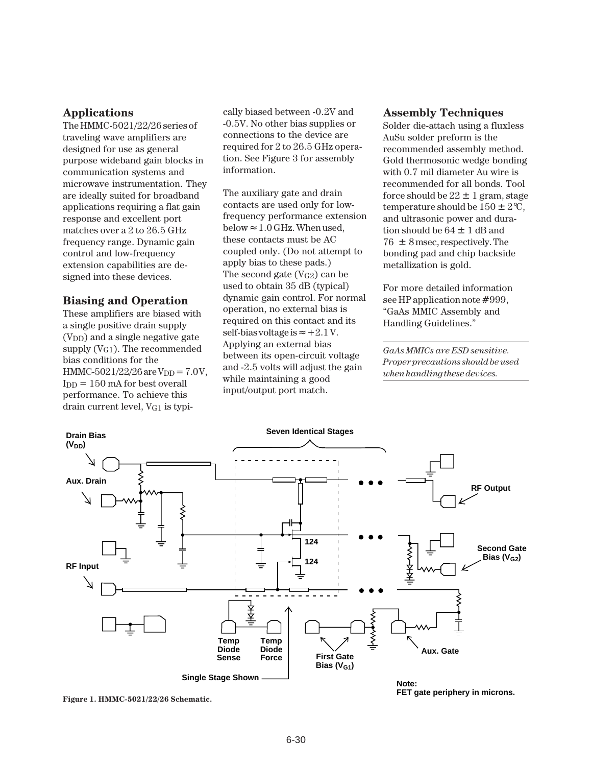#### **Applications**

The HMMC-5021/22/26 series of traveling wave amplifiers are designed for use as general purpose wideband gain blocks in communication systems and microwave instrumentation. They are ideally suited for broadband applications requiring a flat gain response and excellent port matches over a 2 to 26.5 GHz frequency range. Dynamic gain control and low-frequency extension capabilities are designed into these devices.

#### **Biasing and Operation**

These amplifiers are biased with a single positive drain supply  $(V<sub>DD</sub>)$  and a single negative gate supply  $(V_{G1})$ . The recommended bias conditions for the HMMC-5021/22/26 are  $V_{DD} = 7.0V$ ,  $I_{DD} = 150$  mA for best overall performance. To achieve this drain current level, VG1 is typically biased between -0.2V and -0.5V. No other bias supplies or connections to the device are required for 2 to 26.5 GHz operation. See Figure 3 for assembly information.

The auxiliary gate and drain contacts are used only for lowfrequency performance extension below  $\approx 1.0$  GHz. When used, these contacts must be AC coupled only. (Do not attempt to apply bias to these pads.) The second gate  $(V_{G2})$  can be used to obtain 35 dB (typical) dynamic gain control. For normal operation, no external bias is required on this contact and its self-bias voltage is ≈  $+2.1$  V. Applying an external bias between its open-circuit voltage and -2.5 volts will adjust the gain while maintaining a good input/output port match.

#### **Assembly Techniques**

Solder die-attach using a fluxless AuSu solder preform is the recommended assembly method. Gold thermosonic wedge bonding with 0.7 mil diameter Au wire is recommended for all bonds. Tool force should be  $22 \pm 1$  gram, stage temperature should be  $150 \pm 2$ °C, and ultrasonic power and duration should be  $64 \pm 1$  dB and  $76 \pm 8$  msec, respectively. The bonding pad and chip backside metallization is gold.

For more detailed information see HP application note #999, "GaAs MMIC Assembly and Handling Guidelines."

*GaAs MMICs are ESD sensitive. Proper precautions should be used when handling these devices.*



**Figure 1. HMMC-5021/22/26 Schematic.**

**FET gate periphery in microns.**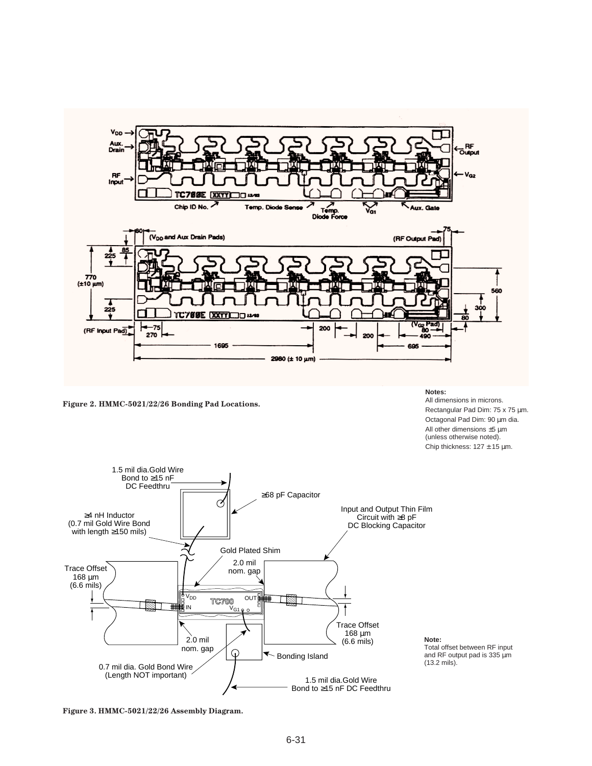

**Figure 2. HMMC-5021/22/26 Bonding Pad Locations.**

**Notes:**

All dimensions in microns. Rectangular Pad Dim: 75 x 75 µm. Octagonal Pad Dim: 90 µm dia. All other dimensions ±5 µm (unless otherwise noted). Chip thickness:  $127 \pm 15$  µm.



Total offset between RF input and RF output pad is 335 µm (13.2 mils).

**Figure 3. HMMC-5021/22/26 Assembly Diagram.**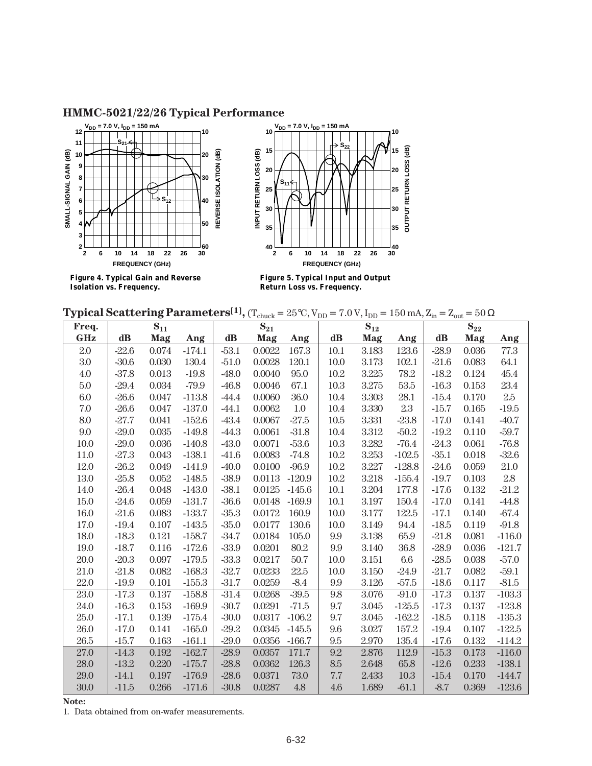### **HMMC-5021/22/26 Typical Performance**







**Figure 5. Typical Input and Output Return Loss vs. Frequency.**

| <b>Typical Scattering Parameters</b> <sup>[1]</sup> , (T <sub>chuck</sub> = 25°C, V <sub>DD</sub> = 7.0 V, I <sub>DD</sub> = 150 mA, Z <sub>in</sub> = Z <sub>out</sub> = 50 $\Omega$ |  |  |  |  |  |  |  |  |
|---------------------------------------------------------------------------------------------------------------------------------------------------------------------------------------|--|--|--|--|--|--|--|--|
|---------------------------------------------------------------------------------------------------------------------------------------------------------------------------------------|--|--|--|--|--|--|--|--|

| Freq.      |          | $\mathbf{S}_{11}$ |          |          | $S_{21}$ |          | $\mathbf{S}_{12}$ |       |          | $S_{22}$      |       |          |  |
|------------|----------|-------------------|----------|----------|----------|----------|-------------------|-------|----------|---------------|-------|----------|--|
| <b>GHz</b> | $\bf dB$ | Mag               | Ang      | $\bf dB$ | Mag      | Ang      | $\mathbf{dB}$     | Mag   | Ang      | $\mathbf{dB}$ | Mag   | Ang      |  |
| 2.0        | $-22.6$  | 0.074             | $-174.1$ | $-53.1$  | 0.0022   | 167.3    | 10.1              | 3.183 | 123.6    | $-28.9$       | 0.036 | 77.3     |  |
| 3.0        | $-30.6$  | 0.030             | 130.4    | $-51.0$  | 0.0028   | 120.1    | 10.0              | 3.173 | 102.1    | $-21.6$       | 0.083 | 64.1     |  |
| 4.0        | $-37.8$  | 0.013             | $-19.8$  | $-48.0$  | 0.0040   | 95.0     | 10.2              | 3.225 | 78.2     | $-18.2$       | 0.124 | 45.4     |  |
| 5.0        | $-29.4$  | 0.034             | $-79.9$  | $-46.8$  | 0.0046   | 67.1     | 10.3              | 3.275 | 53.5     | $-16.3$       | 0.153 | 23.4     |  |
| 6.0        | $-26.6$  | 0.047             | $-113.8$ | $-44.4$  | 0.0060   | 36.0     | 10.4              | 3.303 | 28.1     | $-15.4$       | 0.170 | $2.5\,$  |  |
| 7.0        | $-26.6$  | 0.047             | $-137.0$ | $-44.1$  | 0.0062   | $1.0\,$  | 10.4              | 3.330 | 2.3      | $-15.7$       | 0.165 | $-19.5$  |  |
| 8.0        | $-27.7$  | 0.041             | $-152.6$ | $-43.4$  | 0.0067   | $-27.5$  | 10.5              | 3.331 | $-23.8$  | $-17.0$       | 0.141 | $-40.7$  |  |
| 9.0        | $-29.0$  | 0.035             | $-149.8$ | $-44.3$  | 0.0061   | $-31.8$  | 10.4              | 3.312 | $-50.2$  | $-19.2$       | 0.110 | $-59.7$  |  |
| 10.0       | $-29.0$  | 0.036             | $-140.8$ | $-43.0$  | 0.0071   | $-53.6$  | 10.3              | 3.282 | $-76.4$  | $-24.3$       | 0.061 | $-76.8$  |  |
| 11.0       | $-27.3$  | 0.043             | $-138.1$ | $-41.6$  | 0.0083   | $-74.8$  | 10.2              | 3.253 | $-102.5$ | $-35.1$       | 0.018 | $-32.6$  |  |
| 12.0       | $-26.2$  | 0.049             | $-141.9$ | $-40.0$  | 0.0100   | $-96.9$  | 10.2              | 3.227 | $-128.8$ | $-24.6$       | 0.059 | 21.0     |  |
| 13.0       | $-25.8$  | 0.052             | $-148.5$ | $-38.9$  | 0.0113   | $-120.9$ | 10.2              | 3.218 | $-155.4$ | $-19.7$       | 0.103 | 2.8      |  |
| 14.0       | $-26.4$  | 0.048             | $-143.0$ | $-38.1$  | 0.0125   | $-145.6$ | 10.1              | 3.204 | 177.8    | $-17.6$       | 0.132 | $-21.2$  |  |
| 15.0       | $-24.6$  | 0.059             | $-131.7$ | $-36.6$  | 0.0148   | $-169.9$ | 10.1              | 3.197 | 150.4    | $-17.0$       | 0.141 | $-44.8$  |  |
| 16.0       | $-21.6$  | 0.083             | $-133.7$ | $-35.3$  | 0.0172   | 160.9    | 10.0              | 3.177 | 122.5    | $-17.1$       | 0.140 | $-67.4$  |  |
| 17.0       | $-19.4$  | 0.107             | $-143.5$ | $-35.0$  | 0.0177   | 130.6    | 10.0              | 3.149 | 94.4     | $-18.5$       | 0.119 | $-91.8$  |  |
| 18.0       | $-18.3$  | 0.121             | $-158.7$ | $-34.7$  | 0.0184   | 105.0    | 9.9               | 3.138 | 65.9     | $-21.8$       | 0.081 | $-116.0$ |  |
| 19.0       | $-18.7$  | 0.116             | $-172.6$ | $-33.9$  | 0.0201   | 80.2     | 9.9               | 3.140 | 36.8     | $-28.9$       | 0.036 | $-121.7$ |  |
| 20.0       | $-20.3$  | 0.097             | $-179.5$ | $-33.3$  | 0.0217   | 50.7     | 10.0              | 3.151 | 6.6      | $-28.5$       | 0.038 | $-57.0$  |  |
| 21.0       | $-21.8$  | 0.082             | $-168.3$ | $-32.7$  | 0.0233   | 22.5     | 10.0              | 3.150 | $-24.9$  | $-21.7$       | 0.082 | $-59.1$  |  |
| 22.0       | $-19.9$  | 0.101             | $-155.3$ | $-31.7$  | 0.0259   | $-8.4$   | 9.9               | 3.126 | $-57.5$  | $-18.6$       | 0.117 | $-81.5$  |  |
| 23.0       | $-17.3$  | 0.137             | $-158.8$ | $-31.4$  | 0.0268   | $-39.5$  | 9.8               | 3.076 | $-91.0$  | $-17.3$       | 0.137 | $-103.3$ |  |
| 24.0       | $-16.3$  | 0.153             | $-169.9$ | $-30.7$  | 0.0291   | $-71.5$  | 9.7               | 3.045 | $-125.5$ | $-17.3$       | 0.137 | $-123.8$ |  |
| 25.0       | $-17.1$  | 0.139             | $-175.4$ | $-30.0$  | 0.0317   | $-106.2$ | 9.7               | 3.045 | $-162.2$ | $-18.5$       | 0.118 | $-135.3$ |  |
| 26.0       | $-17.0$  | 0.141             | $-165.0$ | $-29.2$  | 0.0345   | $-145.5$ | 9.6               | 3.027 | 157.2    | $-19.4$       | 0.107 | $-122.5$ |  |
| 26.5       | $-15.7$  | 0.163             | $-161.1$ | $-29.0$  | 0.0356   | $-166.7$ | 9.5               | 2.970 | 135.4    | $-17.6$       | 0.132 | $-114.2$ |  |
| 27.0       | $-14.3$  | 0.192             | $-162.7$ | $-28.9$  | 0.0357   | 171.7    | 9.2               | 2.876 | 112.9    | $-15.3$       | 0.173 | $-116.0$ |  |
| 28.0       | $-13.2$  | 0.220             | $-175.7$ | $-28.8$  | 0.0362   | 126.3    | 8.5               | 2.648 | 65.8     | $-12.6$       | 0.233 | $-138.1$ |  |
| 29.0       | $-14.1$  | 0.197             | $-176.9$ | $-28.6$  | 0.0371   | 73.0     | 7.7               | 2.433 | 10.3     | $-15.4$       | 0.170 | $-144.7$ |  |
| 30.0       | $-11.5$  | 0.266             | $-171.6$ | $-30.8$  | 0.0287   | 4.8      | 4.6               | 1.689 | $-61.1$  | $-8.7$        | 0.369 | $-123.6$ |  |

**Note:**

1. Data obtained from on-wafer measurements.